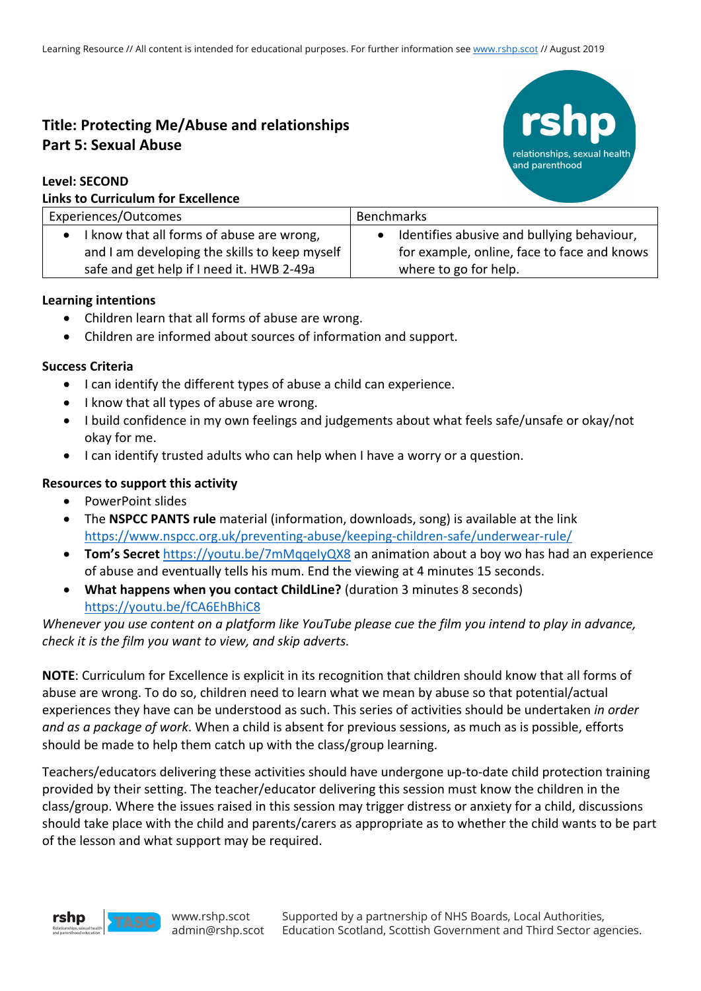# **Title: Protecting Me/Abuse and relationships Part 5: Sexual Abuse**

### **Level: SECOND Links to Curriculum for Excellence**



| ENNY TY SANTISAIMIN'IYI EASCHISHSC                                                           |                                                                                           |
|----------------------------------------------------------------------------------------------|-------------------------------------------------------------------------------------------|
| Experiences/Outcomes                                                                         | <b>Benchmarks</b>                                                                         |
| • I know that all forms of abuse are wrong,<br>and I am developing the skills to keep myself | Identifies abusive and bullying behaviour,<br>for example, online, face to face and knows |
| safe and get help if I need it. HWB 2-49a                                                    | where to go for help.                                                                     |

### **Learning intentions**

- Children learn that all forms of abuse are wrong.
- Children are informed about sources of information and support.

### **Success Criteria**

- I can identify the different types of abuse a child can experience.
- I know that all types of abuse are wrong.
- I build confidence in my own feelings and judgements about what feels safe/unsafe or okay/not okay for me.
- I can identify trusted adults who can help when I have a worry or a question.

### **Resources to support this activity**

- PowerPoint slides
- The **NSPCC PANTS rule** material (information, downloads, song) is available at the link https://www.nspcc.org.uk/preventing-abuse/keeping-children-safe/underwear-rule/
- **Tom's Secret** https://youtu.be/7mMqqeIyQX8 an animation about a boy wo has had an experience of abuse and eventually tells his mum. End the viewing at 4 minutes 15 seconds.
- **What happens when you contact ChildLine?** (duration 3 minutes 8 seconds) https://youtu.be/fCA6EhBhiC8

# *Whenever you use content on a platform like YouTube please cue the film you intend to play in advance, check it is the film you want to view, and skip adverts.*

**NOTE**: Curriculum for Excellence is explicit in its recognition that children should know that all forms of abuse are wrong. To do so, children need to learn what we mean by abuse so that potential/actual experiences they have can be understood as such. This series of activities should be undertaken *in order and as a package of work*. When a child is absent for previous sessions, as much as is possible, efforts should be made to help them catch up with the class/group learning.

Teachers/educators delivering these activities should have undergone up-to-date child protection training provided by their setting. The teacher/educator delivering this session must know the children in the class/group. Where the issues raised in this session may trigger distress or anxiety for a child, discussions should take place with the child and parents/carers as appropriate as to whether the child wants to be part of the lesson and what support may be required.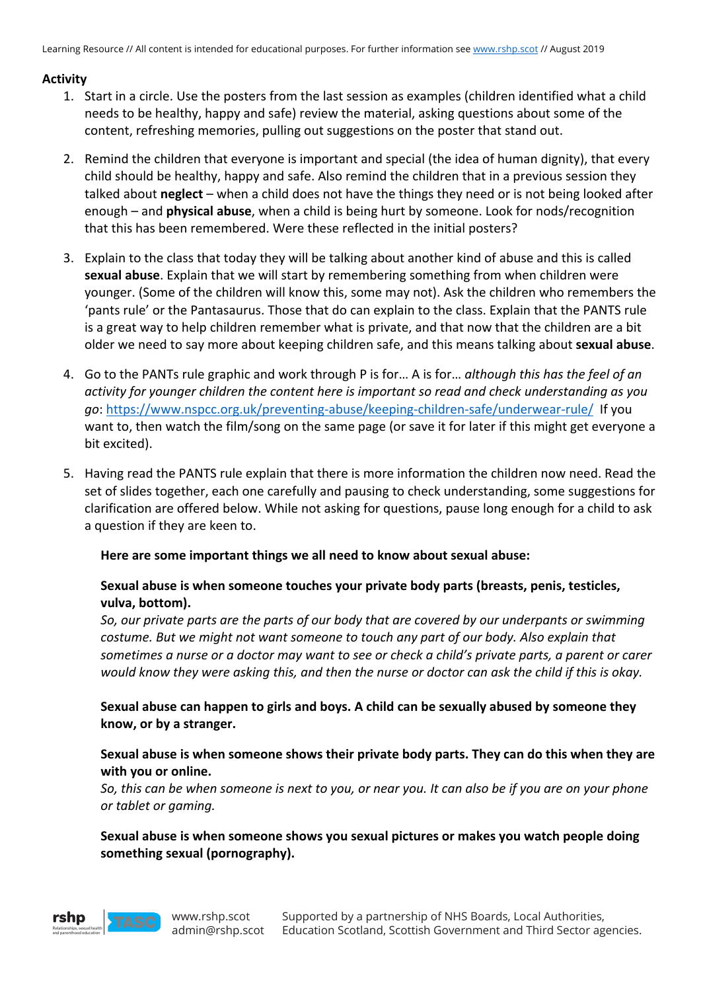### **Activity**

- 1. Start in a circle. Use the posters from the last session as examples (children identified what a child needs to be healthy, happy and safe) review the material, asking questions about some of the content, refreshing memories, pulling out suggestions on the poster that stand out.
- 2. Remind the children that everyone is important and special (the idea of human dignity), that every child should be healthy, happy and safe. Also remind the children that in a previous session they talked about **neglect** – when a child does not have the things they need or is not being looked after enough – and **physical abuse**, when a child is being hurt by someone. Look for nods/recognition that this has been remembered. Were these reflected in the initial posters?
- 3. Explain to the class that today they will be talking about another kind of abuse and this is called **sexual abuse**. Explain that we will start by remembering something from when children were younger. (Some of the children will know this, some may not). Ask the children who remembers the 'pants rule' or the Pantasaurus. Those that do can explain to the class. Explain that the PANTS rule is a great way to help children remember what is private, and that now that the children are a bit older we need to say more about keeping children safe, and this means talking about **sexual abuse**.
- 4. Go to the PANTs rule graphic and work through P is for… A is for… *although this has the feel of an activity for younger children the content here is important so read and check understanding as you go*: https://www.nspcc.org.uk/preventing-abuse/keeping-children-safe/underwear-rule/ If you want to, then watch the film/song on the same page (or save it for later if this might get everyone a bit excited).
- 5. Having read the PANTS rule explain that there is more information the children now need. Read the set of slides together, each one carefully and pausing to check understanding, some suggestions for clarification are offered below. While not asking for questions, pause long enough for a child to ask a question if they are keen to.

### **Here are some important things we all need to know about sexual abuse:**

### **Sexual abuse is when someone touches your private body parts (breasts, penis, testicles, vulva, bottom).**

*So, our private parts are the parts of our body that are covered by our underpants or swimming costume. But we might not want someone to touch any part of our body. Also explain that sometimes a nurse or a doctor may want to see or check a child's private parts, a parent or carer would know they were asking this, and then the nurse or doctor can ask the child if this is okay.*

### **Sexual abuse can happen to girls and boys. A child can be sexually abused by someone they know, or by a stranger.**

### **Sexual abuse is when someone shows their private body parts. They can do this when they are with you or online.**

*So, this can be when someone is next to you, or near you. It can also be if you are on your phone or tablet or gaming.* 

**Sexual abuse is when someone shows you sexual pictures or makes you watch people doing something sexual (pornography).**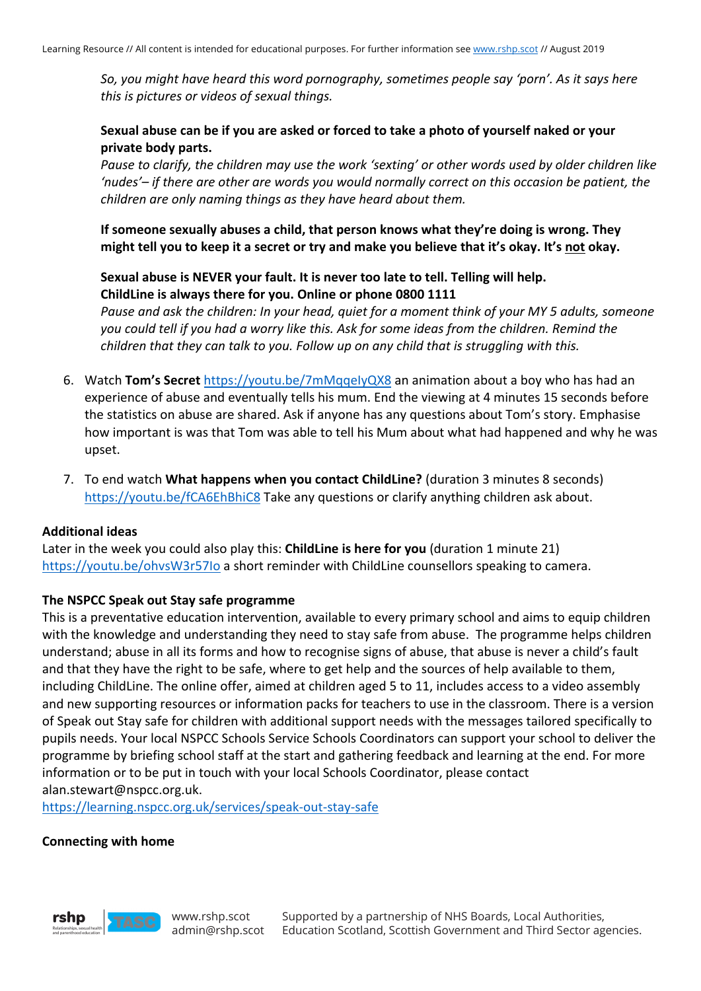*So, you might have heard this word pornography, sometimes people say 'porn'. As it says here this is pictures or videos of sexual things.*

### **Sexual abuse can be if you are asked or forced to take a photo of yourself naked or your private body parts.**

*Pause to clarify, the children may use the work 'sexting' or other words used by older children like 'nudes'– if there are other are words you would normally correct on this occasion be patient, the children are only naming things as they have heard about them.* 

**If someone sexually abuses a child, that person knows what they're doing is wrong. They might tell you to keep it a secret or try and make you believe that it's okay. It's not okay.** 

## **Sexual abuse is NEVER your fault. It is never too late to tell. Telling will help. ChildLine is always there for you. Online or phone 0800 1111**

*Pause and ask the children: In your head, quiet for a moment think of your MY 5 adults, someone you could tell if you had a worry like this. Ask for some ideas from the children. Remind the children that they can talk to you. Follow up on any child that is struggling with this.*

- 6. Watch **Tom's Secret** https://youtu.be/7mMqqeIyQX8 an animation about a boy who has had an experience of abuse and eventually tells his mum. End the viewing at 4 minutes 15 seconds before the statistics on abuse are shared. Ask if anyone has any questions about Tom's story. Emphasise how important is was that Tom was able to tell his Mum about what had happened and why he was upset.
- 7. To end watch **What happens when you contact ChildLine?** (duration 3 minutes 8 seconds) https://youtu.be/fCA6EhBhiC8 Take any questions or clarify anything children ask about.

#### **Additional ideas**

Later in the week you could also play this: **ChildLine is here for you** (duration 1 minute 21) https://youtu.be/ohvsW3r57Io a short reminder with ChildLine counsellors speaking to camera.

### **The NSPCC Speak out Stay safe programme**

This is a preventative education intervention, available to every primary school and aims to equip children with the knowledge and understanding they need to stay safe from abuse. The programme helps children understand; abuse in all its forms and how to recognise signs of abuse, that abuse is never a child's fault and that they have the right to be safe, where to get help and the sources of help available to them, including ChildLine. The online offer, aimed at children aged 5 to 11, includes access to a video assembly and new supporting resources or information packs for teachers to use in the classroom. There is a version of Speak out Stay safe for children with additional support needs with the messages tailored specifically to pupils needs. Your local NSPCC Schools Service Schools Coordinators can support your school to deliver the programme by briefing school staff at the start and gathering feedback and learning at the end. For more information or to be put in touch with your local Schools Coordinator, please contact alan.stewart@nspcc.org.uk.

https://learning.nspcc.org.uk/services/speak-out-stay-safe

#### **Connecting with home**